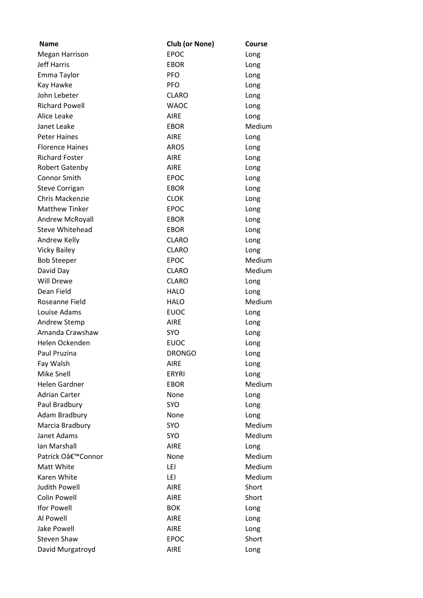| Name                   | Club (or None) | Course |
|------------------------|----------------|--------|
| <b>Megan Harrison</b>  | <b>EPOC</b>    | Long   |
| <b>Jeff Harris</b>     | <b>EBOR</b>    | Long   |
| Emma Taylor            | <b>PFO</b>     | Long   |
| Kay Hawke              | <b>PFO</b>     | Long   |
| John Lebeter           | <b>CLARO</b>   | Long   |
| <b>Richard Powell</b>  | <b>WAOC</b>    | Long   |
| Alice Leake            | <b>AIRE</b>    | Long   |
| Janet Leake            | <b>EBOR</b>    | Medium |
| <b>Peter Haines</b>    | <b>AIRE</b>    | Long   |
| <b>Florence Haines</b> | <b>AROS</b>    | Long   |
| <b>Richard Foster</b>  | <b>AIRE</b>    | Long   |
| <b>Robert Gatenby</b>  | <b>AIRE</b>    | Long   |
| <b>Connor Smith</b>    | <b>EPOC</b>    | Long   |
| <b>Steve Corrigan</b>  | <b>EBOR</b>    | Long   |
| <b>Chris Mackenzie</b> | <b>CLOK</b>    | Long   |
| <b>Matthew Tinker</b>  | <b>EPOC</b>    | Long   |
| <b>Andrew McRoyall</b> | <b>EBOR</b>    | Long   |
| <b>Steve Whitehead</b> | <b>EBOR</b>    | Long   |
| Andrew Kelly           | <b>CLARO</b>   | Long   |
| <b>Vicky Bailey</b>    | <b>CLARO</b>   | Long   |
| <b>Bob Steeper</b>     | <b>EPOC</b>    | Medium |
| David Day              | <b>CLARO</b>   | Medium |
| Will Drewe             | <b>CLARO</b>   | Long   |
| Dean Field             | <b>HALO</b>    | Long   |
| Roseanne Field         | <b>HALO</b>    | Medium |
| Louise Adams           | <b>EUOC</b>    | Long   |
| Andrew Stemp           | <b>AIRE</b>    | Long   |
| Amanda Crawshaw        | SYO            | Long   |
| Helen Ockenden         | <b>EUOC</b>    | Long   |
| Paul Pruzina           | <b>DRONGO</b>  | Long   |
| Fay Walsh              | <b>AIRE</b>    | Long   |
| Mike Snell             | <b>ERYRI</b>   | Long   |
| <b>Helen Gardner</b>   | <b>EBOR</b>    | Medium |
| <b>Adrian Carter</b>   | None           | Long   |
| Paul Bradbury          | SYO            | Long   |
| Adam Bradbury          | None           | Long   |
| Marcia Bradbury        | <b>SYO</b>     | Medium |
| Janet Adams            | <b>SYO</b>     | Medium |
| Ian Marshall           | <b>AIRE</b>    | Long   |
| Patrick O'Connor       | None           | Medium |
| Matt White             | LEI            | Medium |
| Karen White            | LEI            | Medium |
| <b>Judith Powell</b>   | <b>AIRE</b>    | Short  |
| <b>Colin Powell</b>    | <b>AIRE</b>    | Short  |
| <b>Ifor Powell</b>     | <b>BOK</b>     | Long   |
| Al Powell              | <b>AIRE</b>    | Long   |
| <b>Jake Powell</b>     | <b>AIRE</b>    | Long   |
| <b>Steven Shaw</b>     | <b>EPOC</b>    | Short  |
| David Murgatroyd       | <b>AIRE</b>    | Long   |
|                        |                |        |